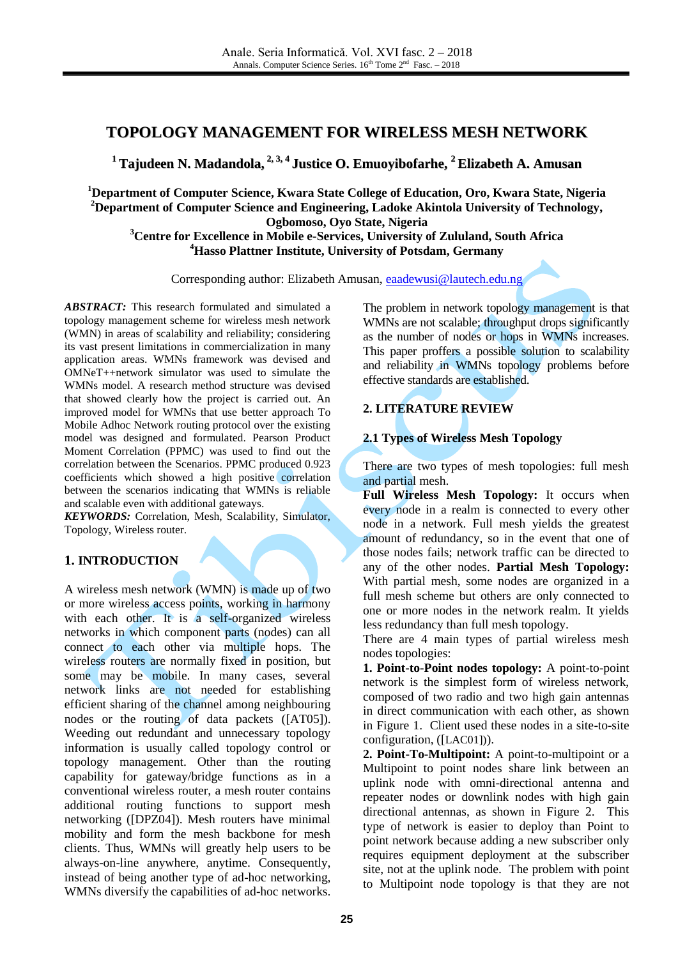# **TOPOLOGY MANAGEMENT FOR WIRELESS MESH NETWORK**

**<sup>1</sup> Tajudeen N. Madandola, 2, 3, 4 Justice O. Emuoyibofarhe, <sup>2</sup> Elizabeth A. Amusan**

**<sup>1</sup>Department of Computer Science, Kwara State College of Education, Oro, Kwara State, Nigeria <sup>2</sup>Department of Computer Science and Engineering, Ladoke Akintola University of Technology, Ogbomoso, Oyo State, Nigeria**

**<sup>3</sup>Centre for Excellence in Mobile e-Services, University of Zululand, South Africa <sup>4</sup>Hasso Plattner Institute, University of Potsdam, Germany**

Corresponding author: Elizabeth Amusan, [eaadewusi@lautech.edu.ng](mailto:eaadewusi@lautech.edu.ng)

*ABSTRACT:* This research formulated and simulated a topology management scheme for wireless mesh network (WMN) in areas of scalability and reliability; considering its vast present limitations in commercialization in many application areas. WMNs framework was devised and OMNeT++network simulator was used to simulate the WMNs model. A research method structure was devised that showed clearly how the project is carried out. An improved model for WMNs that use better approach To Mobile Adhoc Network routing protocol over the existing model was designed and formulated. Pearson Product Moment Correlation (PPMC) was used to find out the correlation between the Scenarios. PPMC produced 0.923 coefficients which showed a high positive correlation between the scenarios indicating that WMNs is reliable and scalable even with additional gateways.

*KEYWORDS:* Correlation, Mesh, Scalability, Simulator, Topology, Wireless router.

## **1. INTRODUCTION**

A wireless mesh network (WMN) is made up of two or more wireless access points, working in harmony with each other. It is a self-organized wireless networks in which component parts (nodes) can all connect to each other via multiple hops. The wireless routers are normally fixed in position, but some may be mobile. In many cases, several network links are not needed for establishing efficient sharing of the channel among neighbouring nodes or the routing of data packets ([AT05]). Weeding out redundant and unnecessary topology information is usually called topology control or topology management. Other than the routing capability for gateway/bridge functions as in a conventional wireless router, a mesh router contains additional routing functions to support mesh networking ([DPZ04]). Mesh routers have minimal mobility and form the mesh backbone for mesh clients. Thus, WMNs will greatly help users to be always-on-line anywhere, anytime. Consequently, instead of being another type of ad-hoc networking, WMNs diversify the capabilities of ad-hoc networks.

The problem in network topology management is that WMNs are not scalable; throughput drops significantly as the number of nodes or hops in WMNs increases. This paper proffers a possible solution to scalability and reliability in WMNs topology problems before effective standards are established.

## **2. LITERATURE REVIEW**

### **2.1 Types of Wireless Mesh Topology**

There are two types of mesh topologies: full mesh and partial mesh.

**Full Wireless Mesh Topology:** It occurs when every node in a realm is connected to every other node in a network. Full mesh yields the greatest amount of redundancy, so in the event that one of those nodes fails; network traffic can be directed to any of the other nodes. **Partial Mesh Topology:**  With partial mesh, some nodes are organized in a full mesh scheme but others are only connected to one or more nodes in the network realm. It yields less redundancy than full mesh topology.

There are 4 main types of partial wireless mesh nodes topologies:

**1. Point-to-Point nodes topology:** A point-to-point network is the simplest form of wireless network, composed of two radio and two high gain antennas in direct communication with each other, as shown in Figure 1. Client used these nodes in a site-to-site configuration, ([LAC01])).

**2. Point-To-Multipoint:** A point-to-multipoint or a Multipoint to point nodes share link between an uplink node with omni-directional antenna and repeater nodes or downlink nodes with high gain directional antennas, as shown in Figure 2. This type of network is easier to deploy than Point to point network because adding a new subscriber only requires equipment deployment at the subscriber site, not at the uplink node. The problem with point to Multipoint node topology is that they are not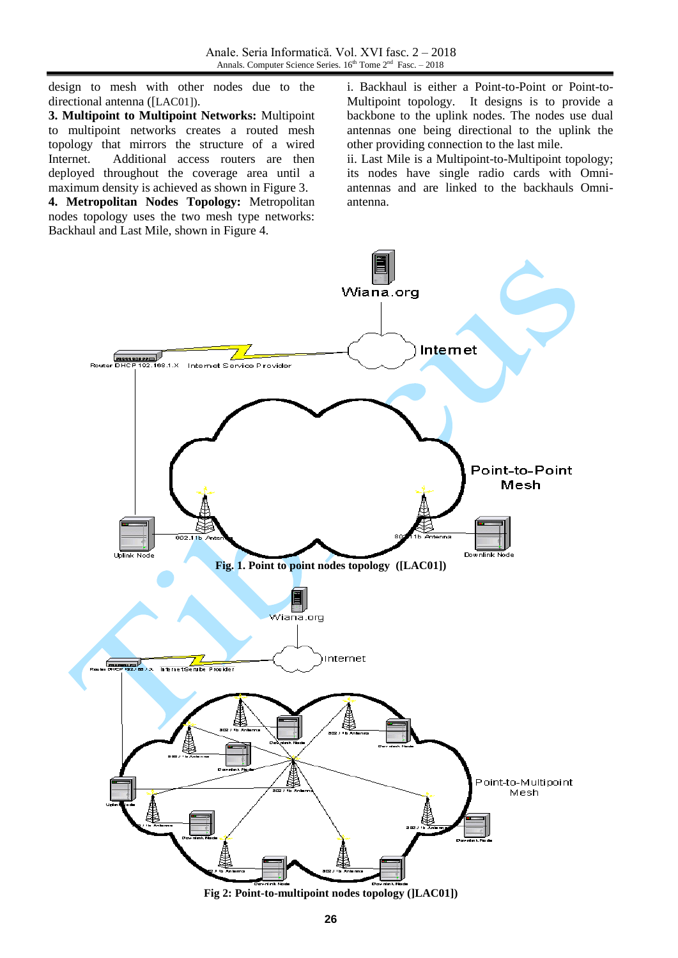design to mesh with other nodes due to the directional antenna ([LAC01]).

**3. Multipoint to Multipoint Networks:** Multipoint to multipoint networks creates a routed mesh topology that mirrors the structure of a wired Internet. Additional access routers are then deployed throughout the coverage area until a maximum density is achieved as shown in Figure 3.

**4. Metropolitan Nodes Topology:** Metropolitan nodes topology uses the two mesh type networks: Backhaul and Last Mile, shown in Figure 4.

i. Backhaul is either a Point-to-Point or Point-to-Multipoint topology. It designs is to provide a backbone to the uplink nodes. The nodes use dual antennas one being directional to the uplink the other providing connection to the last mile.

ii. Last Mile is a Multipoint-to-Multipoint topology; its nodes have single radio cards with Omniantennas and are linked to the backhauls Omniantenna.



**Fig 2: Point-to-multipoint nodes topology (]LAC01])**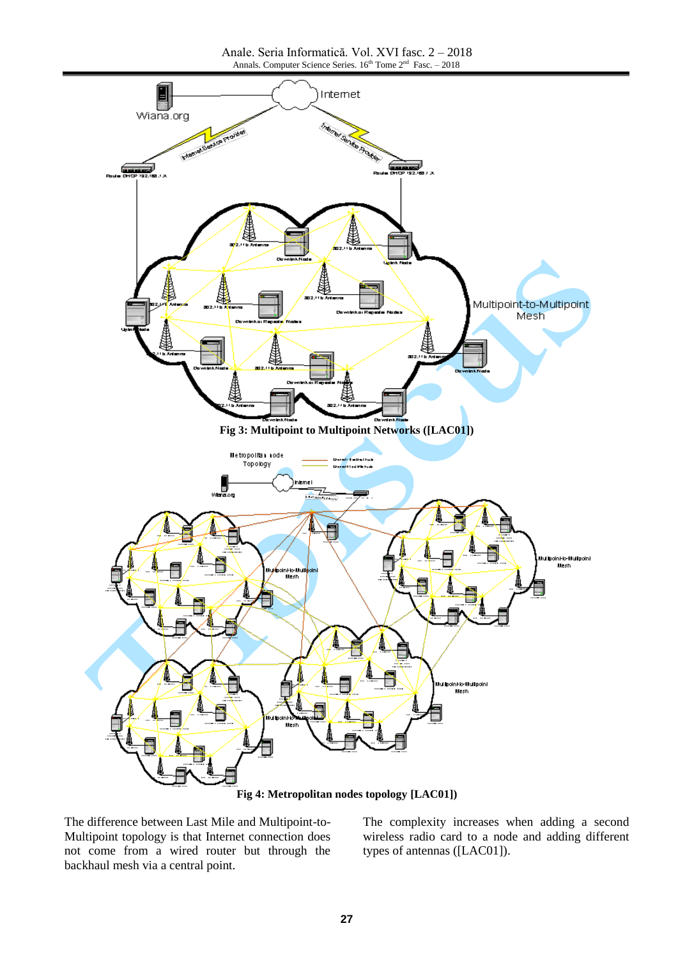

The difference between Last Mile and Multipoint-to-Multipoint topology is that Internet connection does not come from a wired router but through the backhaul mesh via a central point.

The complexity increases when adding a second wireless radio card to a node and adding different types of antennas ([LAC01]).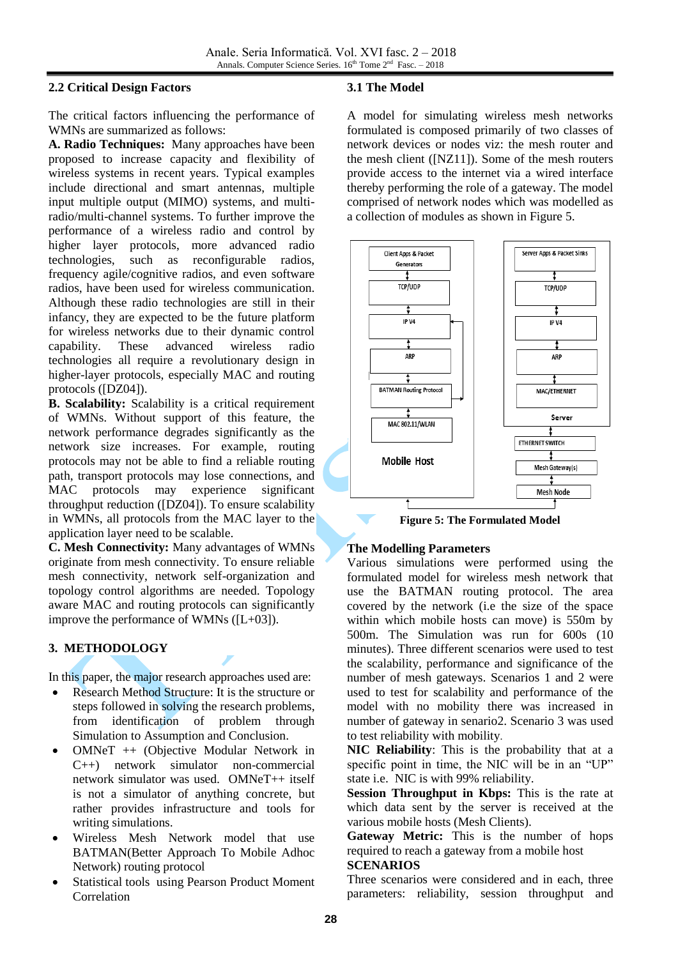#### **2.2 Critical Design Factors**

The critical factors influencing the performance of WMNs are summarized as follows:

**A. Radio Techniques:** Many approaches have been proposed to increase capacity and flexibility of wireless systems in recent years. Typical examples include directional and smart antennas, multiple input multiple output (MIMO) systems, and multiradio/multi-channel systems. To further improve the performance of a wireless radio and control by higher layer protocols, more advanced radio technologies, such as reconfigurable radios, frequency agile/cognitive radios, and even software radios, have been used for wireless communication. Although these radio technologies are still in their infancy, they are expected to be the future platform for wireless networks due to their dynamic control capability. These advanced wireless radio technologies all require a revolutionary design in higher-layer protocols, especially MAC and routing protocols ([DZ04]).

**B. Scalability:** Scalability is a critical requirement of WMNs. Without support of this feature, the network performance degrades significantly as the network size increases. For example, routing protocols may not be able to find a reliable routing path, transport protocols may lose connections, and MAC protocols may experience significant throughput reduction ([DZ04]). To ensure scalability in WMNs, all protocols from the MAC layer to the application layer need to be scalable.

**C. Mesh Connectivity:** Many advantages of WMNs originate from mesh connectivity. To ensure reliable mesh connectivity, network self-organization and topology control algorithms are needed. Topology aware MAC and routing protocols can significantly improve the performance of WMNs ([L+03]).

## **3. METHODOLOGY**

In this paper, the major research approaches used are:

- Research Method Structure: It is the structure or steps followed in solving the research problems, from identification of problem through Simulation to Assumption and Conclusion.
- OMNeT ++ (Objective Modular Network in C++) network simulator non-commercial network simulator was used. OMNeT++ itself is not a simulator of anything concrete, but rather provides infrastructure and tools for writing simulations.
- Wireless Mesh Network model that use BATMAN(Better Approach To Mobile Adhoc Network) routing protocol
- Statistical tools using Pearson Product Moment Correlation

#### **3.1 The Model**

A model for simulating wireless mesh networks formulated is composed primarily of two classes of network devices or nodes viz: the mesh router and the mesh client ([NZ11]). Some of the mesh routers provide access to the internet via a wired interface thereby performing the role of a gateway. The model comprised of network nodes which was modelled as a collection of modules as shown in Figure 5.



**Figure 5: The Formulated Model**

#### **The Modelling Parameters**

 $\mathcal{L}$ 

Various simulations were performed using the formulated model for wireless mesh network that use the BATMAN routing protocol. The area covered by the network (i.e the size of the space within which mobile hosts can move) is 550m by 500m. The Simulation was run for 600s (10 minutes). Three different scenarios were used to test the scalability, performance and significance of the number of mesh gateways. Scenarios 1 and 2 were used to test for scalability and performance of the model with no mobility there was increased in number of gateway in senario2. Scenario 3 was used to test reliability with mobility.

**NIC Reliability**: This is the probability that at a specific point in time, the NIC will be in an "UP" state i.e. NIC is with 99% reliability.

**Session Throughput in Kbps:** This is the rate at which data sent by the server is received at the various mobile hosts (Mesh Clients).

**Gateway Metric:** This is the number of hops required to reach a gateway from a mobile host

#### **SCENARIOS**

Three scenarios were considered and in each, three parameters: reliability, session throughput and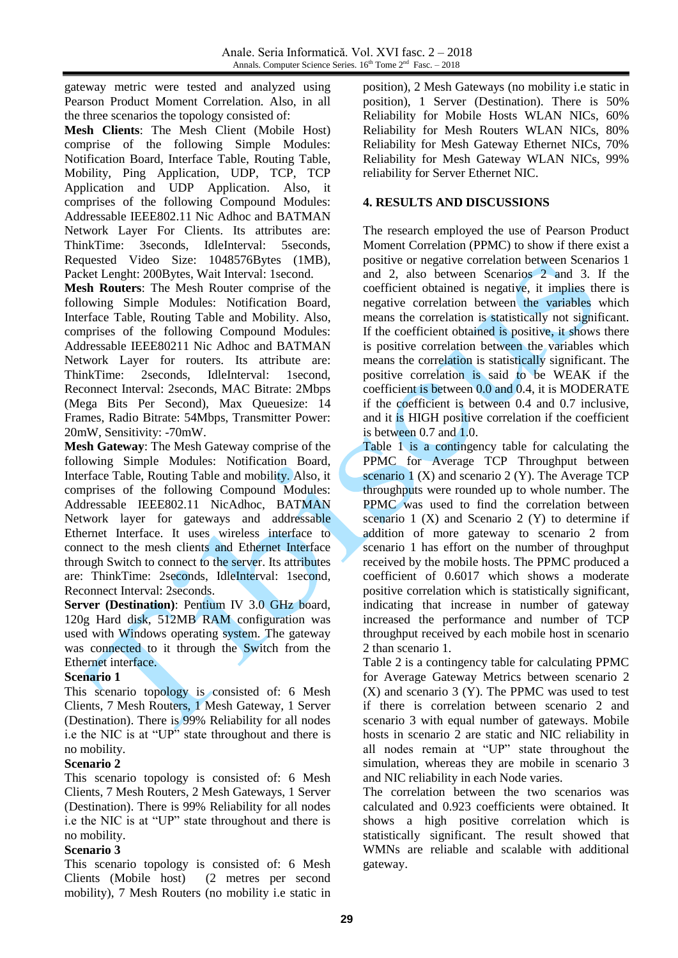gateway metric were tested and analyzed using Pearson Product Moment Correlation. Also, in all the three scenarios the topology consisted of:

**Mesh Clients**: The Mesh Client (Mobile Host) comprise of the following Simple Modules: Notification Board, Interface Table, Routing Table, Mobility, Ping Application, UDP, TCP, TCP Application and UDP Application. Also, it comprises of the following Compound Modules: Addressable IEEE802.11 Nic Adhoc and BATMAN Network Layer For Clients. Its attributes are: ThinkTime: 3seconds, IdleInterval: 5seconds, Requested Video Size: 1048576Bytes (1MB), Packet Lenght: 200Bytes, Wait Interval: 1second.

**Mesh Routers**: The Mesh Router comprise of the following Simple Modules: Notification Board, Interface Table, Routing Table and Mobility. Also, comprises of the following Compound Modules: Addressable IEEE80211 Nic Adhoc and BATMAN Network Layer for routers. Its attribute are: ThinkTime: 2seconds, IdleInterval: 1second, Reconnect Interval: 2seconds, MAC Bitrate: 2Mbps (Mega Bits Per Second), Max Queuesize: 14 Frames, Radio Bitrate: 54Mbps, Transmitter Power: 20mW, Sensitivity: -70mW.

**Mesh Gateway**: The Mesh Gateway comprise of the following Simple Modules: Notification Board, Interface Table, Routing Table and mobility. Also, it comprises of the following Compound Modules: Addressable IEEE802.11 NicAdhoc, BATMAN Network layer for gateways and addressable Ethernet Interface. It uses wireless interface to connect to the mesh clients and Ethernet Interface through Switch to connect to the server. Its attributes are: ThinkTime: 2seconds, IdleInterval: 1second, Reconnect Interval: 2seconds.

**Server (Destination)**: Pentium IV 3.0 GHz board, 120g Hard disk, 512MB RAM configuration was used with Windows operating system. The gateway was connected to it through the Switch from the Ethernet interface.

#### **Scenario 1**

This scenario topology is consisted of: 6 Mesh Clients, 7 Mesh Routers, 1 Mesh Gateway, 1 Server (Destination). There is 99% Reliability for all nodes i.e the NIC is at "UP" state throughout and there is no mobility.

#### **Scenario 2**

This scenario topology is consisted of: 6 Mesh Clients, 7 Mesh Routers, 2 Mesh Gateways, 1 Server (Destination). There is 99% Reliability for all nodes i.e the NIC is at "UP" state throughout and there is no mobility.

## **Scenario 3**

This scenario topology is consisted of: 6 Mesh Clients (Mobile host) (2 metres per second mobility), 7 Mesh Routers (no mobility i.e static in position), 2 Mesh Gateways (no mobility i.e static in position), 1 Server (Destination). There is 50% Reliability for Mobile Hosts WLAN NICs, 60% Reliability for Mesh Routers WLAN NICs, 80% Reliability for Mesh Gateway Ethernet NICs, 70% Reliability for Mesh Gateway WLAN NICs, 99% reliability for Server Ethernet NIC.

### **4. RESULTS AND DISCUSSIONS**

The research employed the use of Pearson Product Moment Correlation (PPMC) to show if there exist a positive or negative correlation between Scenarios 1 and 2, also between Scenarios 2 and 3. If the coefficient obtained is negative, it implies there is negative correlation between the variables which means the correlation is statistically not significant. If the coefficient obtained is positive, it shows there is positive correlation between the variables which means the correlation is statistically significant. The positive correlation is said to be WEAK if the coefficient is between 0.0 and 0.4, it is MODERATE if the coefficient is between 0.4 and 0.7 inclusive, and it is HIGH positive correlation if the coefficient is between 0.7 and 1.0.

Table 1 is a contingency table for calculating the PPMC for Average TCP Throughput between scenario  $1(X)$  and scenario  $2(Y)$ . The Average TCP throughputs were rounded up to whole number. The PPMC was used to find the correlation between scenario  $1$  (X) and Scenario  $2$  (Y) to determine if addition of more gateway to scenario 2 from scenario 1 has effort on the number of throughput received by the mobile hosts. The PPMC produced a coefficient of 0.6017 which shows a moderate positive correlation which is statistically significant, indicating that increase in number of gateway increased the performance and number of TCP throughput received by each mobile host in scenario 2 than scenario 1.

Table 2 is a contingency table for calculating PPMC for Average Gateway Metrics between scenario 2 (X) and scenario 3 (Y). The PPMC was used to test if there is correlation between scenario 2 and scenario 3 with equal number of gateways. Mobile hosts in scenario 2 are static and NIC reliability in all nodes remain at "UP" state throughout the simulation, whereas they are mobile in scenario 3 and NIC reliability in each Node varies.

The correlation between the two scenarios was calculated and 0.923 coefficients were obtained. It shows a high positive correlation which is statistically significant. The result showed that WMNs are reliable and scalable with additional gateway.